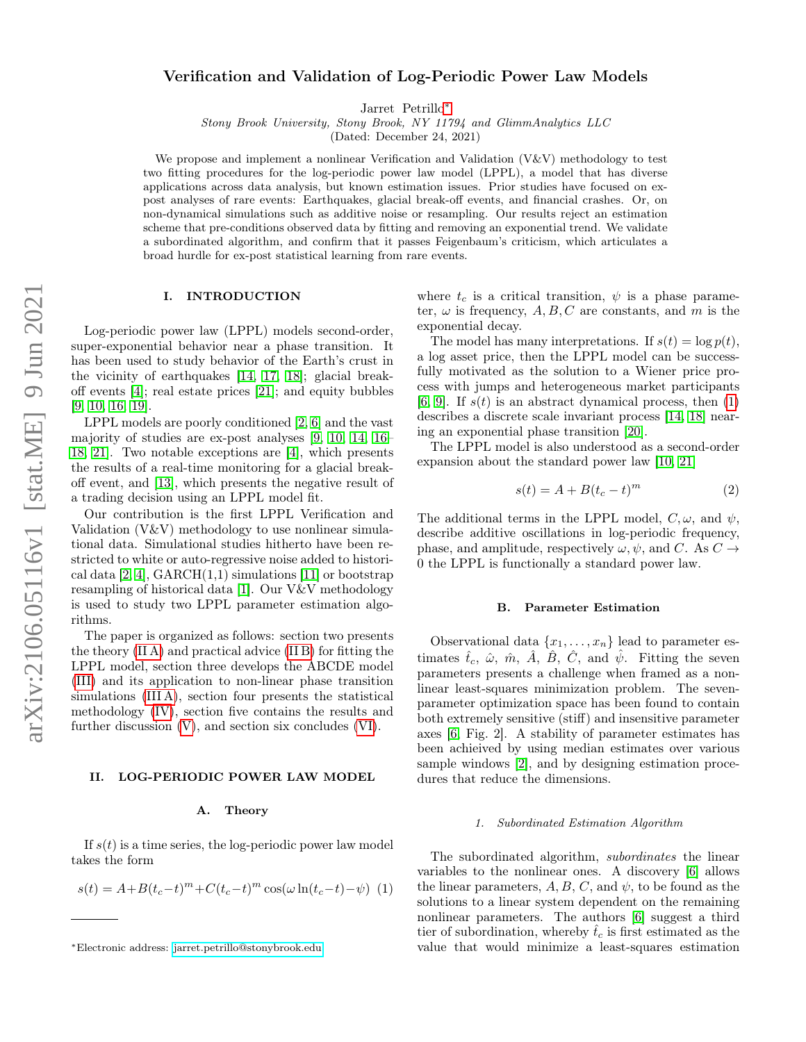# Verification and Validation of Log-Periodic Power Law Models

Jarret Petrillo[∗](#page-0-0)

Stony Brook University, Stony Brook, NY 11794 and GlimmAnalytics LLC

(Dated: December 24, 2021)

We propose and implement a nonlinear Verification and Validation (V&V) methodology to test two fitting procedures for the log-periodic power law model (LPPL), a model that has diverse applications across data analysis, but known estimation issues. Prior studies have focused on expost analyses of rare events: Earthquakes, glacial break-off events, and financial crashes. Or, on non-dynamical simulations such as additive noise or resampling. Our results reject an estimation scheme that pre-conditions observed data by fitting and removing an exponential trend. We validate a subordinated algorithm, and confirm that it passes Feigenbaum's criticism, which articulates a broad hurdle for ex-post statistical learning from rare events.

### I. INTRODUCTION

Log-periodic power law (LPPL) models second-order, super-exponential behavior near a phase transition. It has been used to study behavior of the Earth's crust in the vicinity of earthquakes [\[14,](#page-3-0) [17,](#page-3-1) [18\]](#page-3-2); glacial breakoff events [\[4\]](#page-3-3); real estate prices [\[21\]](#page-3-4); and equity bubbles [\[9,](#page-3-5) [10,](#page-3-6) [16,](#page-3-7) [19\]](#page-3-8).

LPPL models are poorly conditioned [\[2,](#page-3-9) [6\]](#page-3-10) and the vast majority of studies are ex-post analyses [\[9,](#page-3-5) [10,](#page-3-6) [14,](#page-3-0) [16–](#page-3-7) [18,](#page-3-2) [21\]](#page-3-4). Two notable exceptions are [\[4\]](#page-3-3), which presents the results of a real-time monitoring for a glacial breakoff event, and [\[13\]](#page-3-11), which presents the negative result of a trading decision using an LPPL model fit.

Our contribution is the first LPPL Verification and Validation (V&V) methodology to use nonlinear simulational data. Simulational studies hitherto have been restricted to white or auto-regressive noise added to historical data  $[2, 4]$  $[2, 4]$ , GARCH $(1,1)$  simulations  $[11]$  or bootstrap resampling of historical data [\[1\]](#page-3-13). Our V&V methodology is used to study two LPPL parameter estimation algorithms.

The paper is organized as follows: section two presents the theory [\(II A\)](#page-0-1) and practical advice [\(II B\)](#page-0-2) for fitting the LPPL model, section three develops the ABCDE model [\(III\)](#page-1-0) and its application to non-linear phase transition simulations [\(III A\)](#page-2-0), section four presents the statistical methodology [\(IV\)](#page-2-1), section five contains the results and further discussion [\(V\)](#page-2-2), and section six concludes [\(VI\)](#page-3-14).

#### II. LOG-PERIODIC POWER LAW MODEL

#### <span id="page-0-1"></span>A. Theory

If  $s(t)$  is a time series, the log-periodic power law model takes the form

<span id="page-0-3"></span>
$$
s(t) = A + B(t_c - t)^m + C(t_c - t)^m \cos(\omega \ln(t_c - t) - \psi)
$$
 (1)

where  $t_c$  is a critical transition,  $\psi$  is a phase parameter,  $\omega$  is frequency,  $A, B, C$  are constants, and m is the exponential decay.

The model has many interpretations. If  $s(t) = \log p(t)$ , a log asset price, then the LPPL model can be successfully motivated as the solution to a Wiener price process with jumps and heterogeneous market participants [\[6,](#page-3-10) [9\]](#page-3-5). If  $s(t)$  is an abstract dynamical process, then [\(1\)](#page-0-3) describes a discrete scale invariant process [\[14,](#page-3-0) [18\]](#page-3-2) nearing an exponential phase transition [\[20\]](#page-3-15).

The LPPL model is also understood as a second-order expansion about the standard power law [\[10,](#page-3-6) [21\]](#page-3-4)

$$
s(t) = A + B(t_c - t)^m \tag{2}
$$

The additional terms in the LPPL model,  $C, \omega$ , and  $\psi$ , describe additive oscillations in log-periodic frequency, phase, and amplitude, respectively  $\omega, \psi$ , and C. As  $C \rightarrow$ 0 the LPPL is functionally a standard power law.

## <span id="page-0-2"></span>B. Parameter Estimation

Observational data  ${x_1, \ldots, x_n}$  lead to parameter estimates  $\hat{t}_c$ ,  $\hat{\omega}$ ,  $\hat{m}$ ,  $\hat{A}$ ,  $\hat{B}$ ,  $\hat{C}$ , and  $\hat{\psi}$ . Fitting the seven parameters presents a challenge when framed as a nonlinear least-squares minimization problem. The sevenparameter optimization space has been found to contain both extremely sensitive (stiff) and insensitive parameter axes [\[6,](#page-3-10) Fig. 2]. A stability of parameter estimates has been achieived by using median estimates over various sample windows [\[2\]](#page-3-9), and by designing estimation procedures that reduce the dimensions.

# 1. Subordinated Estimation Algorithm

The subordinated algorithm, subordinates the linear variables to the nonlinear ones. A discovery [\[6\]](#page-3-10) allows the linear parameters,  $A, B, C$ , and  $\psi$ , to be found as the solutions to a linear system dependent on the remaining nonlinear parameters. The authors [\[6\]](#page-3-10) suggest a third tier of subordination, whereby  $\hat{t}_c$  is first estimated as the value that would minimize a least-squares estimation

<span id="page-0-0"></span><sup>∗</sup>Electronic address: [jarret.petrillo@stonybrook.edu](mailto:jarret.petrillo@stonybrook.edu)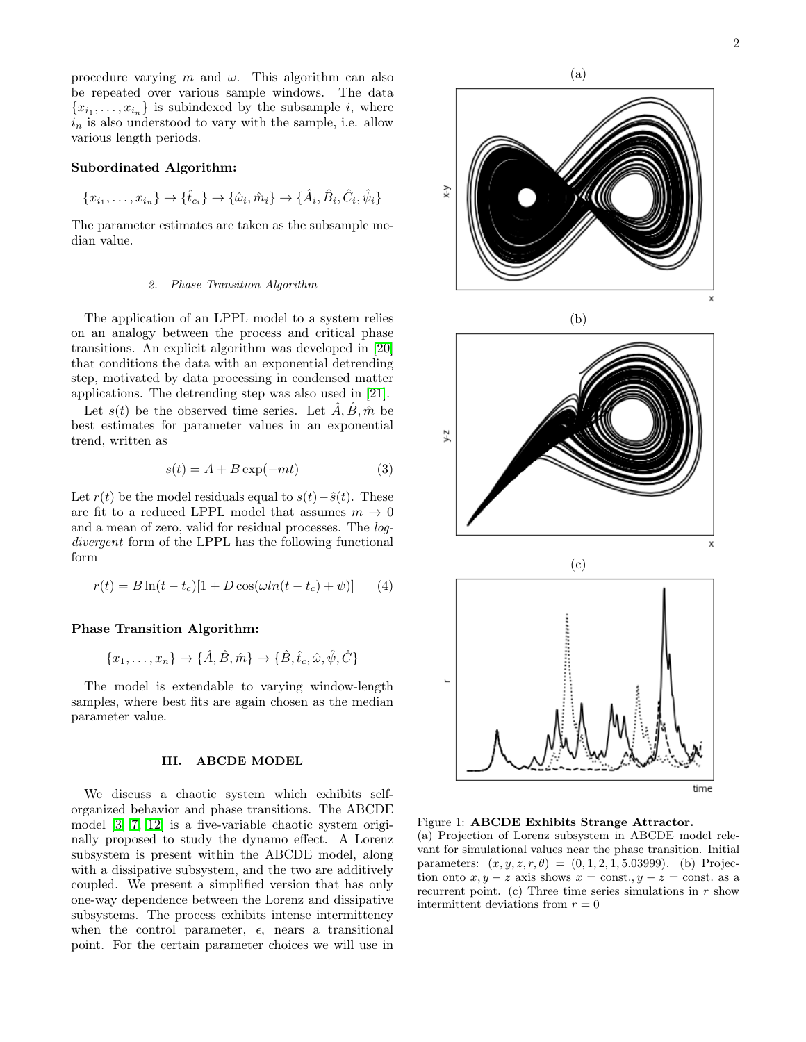procedure varying m and  $\omega$ . This algorithm can also be repeated over various sample windows. The data  ${x_{i_1}, \ldots, x_{i_n}}$  is subindexed by the subsample *i*, where  $i_n$  is also understood to vary with the sample, i.e. allow various length periods.

# Subordinated Algorithm:

$$
\{x_{i_1},\ldots,x_{i_n}\}\rightarrow\{\hat{t}_{c_i}\}\rightarrow\{\hat{\omega}_i,\hat{m}_i\}\rightarrow\{\hat{A}_i,\hat{B}_i,\hat{C}_i,\hat{\psi}_i\}
$$

The parameter estimates are taken as the subsample median value.

#### 2. Phase Transition Algorithm

The application of an LPPL model to a system relies on an analogy between the process and critical phase transitions. An explicit algorithm was developed in [\[20\]](#page-3-15) that conditions the data with an exponential detrending step, motivated by data processing in condensed matter applications. The detrending step was also used in [\[21\]](#page-3-4).

Let  $s(t)$  be the observed time series. Let  $\hat{A}, \hat{B}, \hat{m}$  be best estimates for parameter values in an exponential trend, written as

$$
s(t) = A + B \exp(-mt) \tag{3}
$$

Let  $r(t)$  be the model residuals equal to  $s(t)-\hat{s}(t)$ . These are fit to a reduced LPPL model that assumes  $m \to 0$ and a mean of zero, valid for residual processes. The logdivergent form of the LPPL has the following functional form

$$
r(t) = B\ln(t - t_c)[1 + D\cos(\omega\ln(t - t_c) + \psi)] \tag{4}
$$

# Phase Transition Algorithm:

$$
\{x_1, \ldots, x_n\} \to \{\hat{A}, \hat{B}, \hat{m}\} \to \{\hat{B}, \hat{t}_c, \hat{\omega}, \hat{\psi}, \hat{C}\}\
$$

The model is extendable to varying window-length samples, where best fits are again chosen as the median parameter value.

# <span id="page-1-0"></span>III. ABCDE MODEL

We discuss a chaotic system which exhibits selforganized behavior and phase transitions. The ABCDE model [\[3,](#page-3-16) [7,](#page-3-17) [12\]](#page-3-18) is a five-variable chaotic system originally proposed to study the dynamo effect. A Lorenz subsystem is present within the ABCDE model, along with a dissipative subsystem, and the two are additively coupled. We present a simplified version that has only one-way dependence between the Lorenz and dissipative subsystems. The process exhibits intense intermittency when the control parameter,  $\epsilon$ , nears a transitional point. For the certain parameter choices we will use in





<span id="page-1-1"></span>Figure 1: ABCDE Exhibits Strange Attractor. (a) Projection of Lorenz subsystem in ABCDE model relevant for simulational values near the phase transition. Initial parameters:  $(x, y, z, r, \theta) = (0, 1, 2, 1, 5.03999)$ . (b) Projection onto  $x, y - z$  axis shows  $x = \text{const.}, y - z = \text{const.}$  as a recurrent point. (c) Three time series simulations in  $r$  show intermittent deviations from  $r = 0$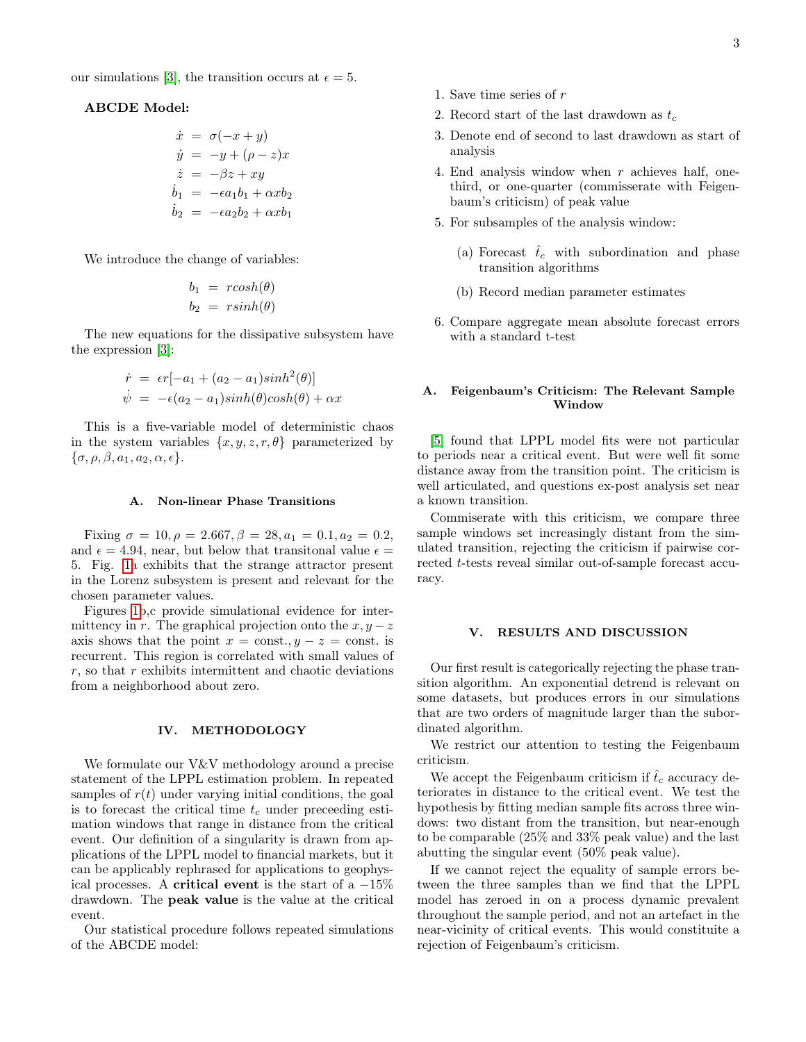our simulations [\[3\]](#page-3-16), the transition occurs at  $\epsilon = 5$ .

# ABCDE Model:

$$
\begin{aligned}\n\dot{x} &= \sigma(-x+y) \\
\dot{y} &= -y + (\rho - z)x \\
\dot{z} &= -\beta z + xy \\
\dot{b}_1 &= -\epsilon a_1 b_1 + \alpha x b_2 \\
\dot{b}_2 &= -\epsilon a_2 b_2 + \alpha x b_1\n\end{aligned}
$$

We introduce the change of variables:

$$
b_1 = r \cosh(\theta)
$$
  

$$
b_2 = r \sinh(\theta)
$$

The new equations for the dissipative subsystem have the expression [\[3\]](#page-3-16):

$$
\dot{r} = \epsilon r[-a_1 + (a_2 - a_1)sinh^2(\theta)]
$$
  

$$
\dot{\psi} = -\epsilon(a_2 - a_1)sinh(\theta)cosh(\theta) + \alpha x
$$

This is a five-variable model of deterministic chaos in the system variables  $\{x, y, z, r, \theta\}$  parameterized by  $\{\sigma, \rho, \beta, a_1, a_2, \alpha, \epsilon\}.$ 

## <span id="page-2-0"></span>A. Non-linear Phase Transitions

Fixing  $\sigma = 10, \rho = 2.667, \beta = 28, a_1 = 0.1, a_2 = 0.2,$ and  $\epsilon = 4.94$ , near, but below that transitonal value  $\epsilon =$ 5. Fig. [1a](#page-1-1) exhibits that the strange attractor present in the Lorenz subsystem is present and relevant for the chosen parameter values.

Figures [1b](#page-1-1),c provide simulational evidence for intermittency in r. The graphical projection onto the  $x, y - z$ axis shows that the point  $x = \text{const.}, y - z = \text{const.}$  is recurrent. This region is correlated with small values of  $r$ , so that  $r$  exhibits intermittent and chaotic deviations from a neighborhood about zero.

#### <span id="page-2-1"></span>IV. METHODOLOGY

We formulate our V&V methodology around a precise statement of the LPPL estimation problem. In repeated samples of  $r(t)$  under varying initial conditions, the goal is to forecast the critical time  $t_c$  under preceeding estimation windows that range in distance from the critical event. Our definition of a singularity is drawn from applications of the LPPL model to financial markets, but it can be applicably rephrased for applications to geophysical processes. A **critical event** is the start of a  $-15\%$ drawdown. The peak value is the value at the critical event.

Our statistical procedure follows repeated simulations of the ABCDE model:

- 1. Save time series of r
- 2. Record start of the last drawdown as  $t_c$
- 3. Denote end of second to last drawdown as start of analysis
- 4. End analysis window when  $r$  achieves half, onethird, or one-quarter (commisserate with Feigenbaum's criticism) of peak value
- 5. For subsamples of the analysis window:
	- (a) Forecast  $\hat{t}_c$  with subordination and phase transition algorithms
	- (b) Record median parameter estimates
- 6. Compare aggregate mean absolute forecast errors with a standard t-test

# A. Feigenbaum's Criticism: The Relevant Sample Window

[\[5\]](#page-3-19) found that LPPL model fits were not particular to periods near a critical event. But were well fit some distance away from the transition point. The criticism is well articulated, and questions ex-post analysis set near a known transition.

Commiserate with this criticism, we compare three sample windows set increasingly distant from the simulated transition, rejecting the criticism if pairwise corrected t-tests reveal similar out-of-sample forecast accuracy.

#### <span id="page-2-2"></span>V. RESULTS AND DISCUSSION

Our first result is categorically rejecting the phase transition algorithm. An exponential detrend is relevant on some datasets, but produces errors in our simulations that are two orders of magnitude larger than the subordinated algorithm.

We restrict our attention to testing the Feigenbaum criticism.

We accept the Feigenbaum criticism if  $\hat{t}_c$  accuracy deteriorates in distance to the critical event. We test the hypothesis by fitting median sample fits across three windows: two distant from the transition, but near-enough to be comparable (25% and 33% peak value) and the last abutting the singular event (50% peak value).

If we cannot reject the equality of sample errors between the three samples than we find that the LPPL model has zeroed in on a process dynamic prevalent throughout the sample period, and not an artefact in the near-vicinity of critical events. This would constituite a rejection of Feigenbaum's criticism.